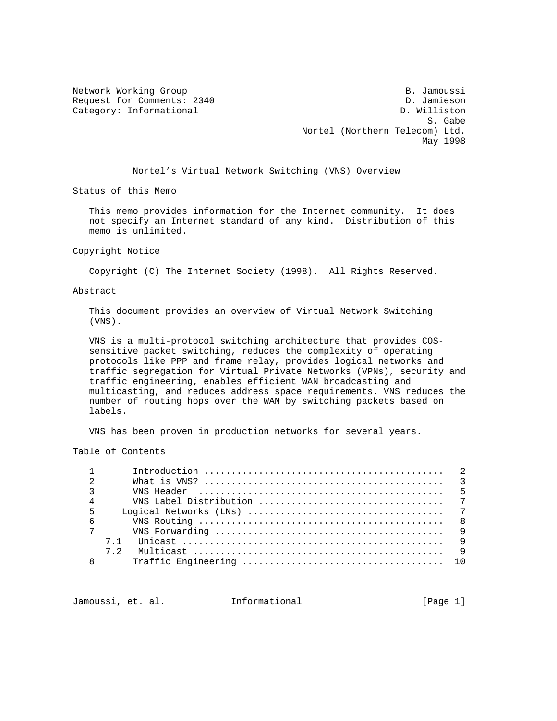Network Working Group and the set of the set of the set of the set of the set of the set of the set of the set of the set of the set of the set of the set of the set of the set of the set of the set of the set of the set o Request for Comments: 2340 D. Jamieson Category: Informational D. Williston S. Gabe $\,$  S. Gabe $\,$  S. Gabe $\,$  Nortel (Northern Telecom) Ltd. May 1998

Nortel's Virtual Network Switching (VNS) Overview

Status of this Memo

 This memo provides information for the Internet community. It does not specify an Internet standard of any kind. Distribution of this memo is unlimited.

Copyright Notice

Copyright (C) The Internet Society (1998). All Rights Reserved.

#### Abstract

 This document provides an overview of Virtual Network Switching (VNS).

 VNS is a multi-protocol switching architecture that provides COS sensitive packet switching, reduces the complexity of operating protocols like PPP and frame relay, provides logical networks and traffic segregation for Virtual Private Networks (VPNs), security and traffic engineering, enables efficient WAN broadcasting and multicasting, and reduces address space requirements. VNS reduces the number of routing hops over the WAN by switching packets based on labels.

VNS has been proven in production networks for several years.

Table of Contents

| $\mathfrak{D}$ |                                                                                                                           |  |
|----------------|---------------------------------------------------------------------------------------------------------------------------|--|
| $\mathcal{E}$  |                                                                                                                           |  |
| $\overline{4}$ |                                                                                                                           |  |
| $5^{\circ}$    |                                                                                                                           |  |
| 6              |                                                                                                                           |  |
|                | 7                                                                                                                         |  |
|                | 7.1 Unicast $\ldots$ , $\ldots$ , $\ldots$ , $\ldots$ , $\ldots$ , $\ldots$ , $\ldots$ , $\ldots$ , $\ldots$ , $\qquad$ 9 |  |
|                | 7 2                                                                                                                       |  |
| 8              |                                                                                                                           |  |
|                |                                                                                                                           |  |

Jamoussi, et. al. 1nformational 1. [Page 1]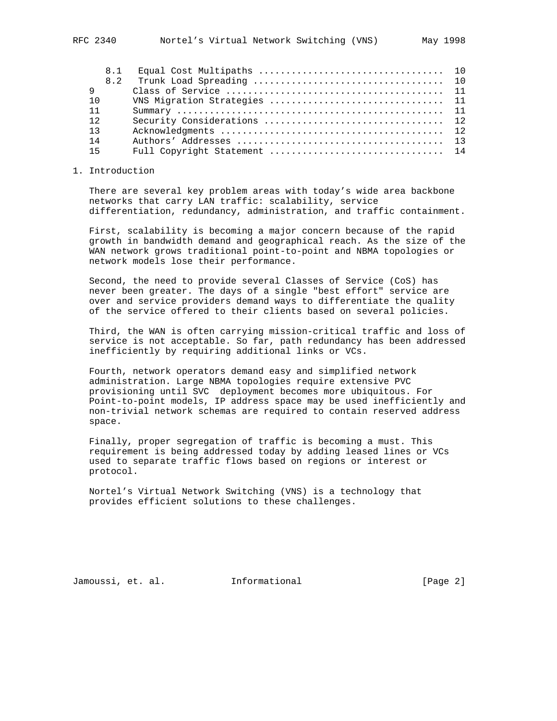| 8.1 |                              |  |
|-----|------------------------------|--|
| 8.2 |                              |  |
| 9   |                              |  |
| 10  | VNS Migration Strategies  11 |  |
| 11  |                              |  |
| 12  |                              |  |
| 13  |                              |  |
| 14  |                              |  |
| 15  |                              |  |
|     |                              |  |

## 1. Introduction

 There are several key problem areas with today's wide area backbone networks that carry LAN traffic: scalability, service differentiation, redundancy, administration, and traffic containment.

 First, scalability is becoming a major concern because of the rapid growth in bandwidth demand and geographical reach. As the size of the WAN network grows traditional point-to-point and NBMA topologies or network models lose their performance.

 Second, the need to provide several Classes of Service (CoS) has never been greater. The days of a single "best effort" service are over and service providers demand ways to differentiate the quality of the service offered to their clients based on several policies.

 Third, the WAN is often carrying mission-critical traffic and loss of service is not acceptable. So far, path redundancy has been addressed inefficiently by requiring additional links or VCs.

 Fourth, network operators demand easy and simplified network administration. Large NBMA topologies require extensive PVC provisioning until SVC deployment becomes more ubiquitous. For Point-to-point models, IP address space may be used inefficiently and non-trivial network schemas are required to contain reserved address space.

 Finally, proper segregation of traffic is becoming a must. This requirement is being addressed today by adding leased lines or VCs used to separate traffic flows based on regions or interest or protocol.

 Nortel's Virtual Network Switching (VNS) is a technology that provides efficient solutions to these challenges.

Jamoussi, et. al. Informational [Page 2]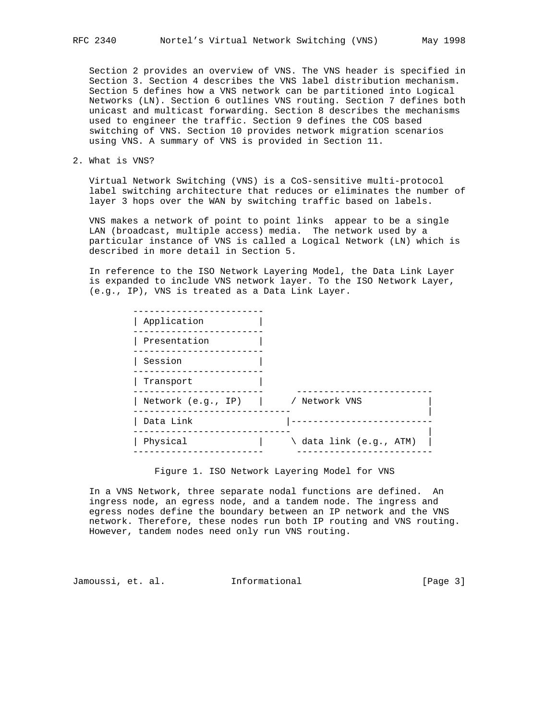Section 2 provides an overview of VNS. The VNS header is specified in Section 3. Section 4 describes the VNS label distribution mechanism. Section 5 defines how a VNS network can be partitioned into Logical Networks (LN). Section 6 outlines VNS routing. Section 7 defines both unicast and multicast forwarding. Section 8 describes the mechanisms used to engineer the traffic. Section 9 defines the COS based switching of VNS. Section 10 provides network migration scenarios using VNS. A summary of VNS is provided in Section 11.

2. What is VNS?

 Virtual Network Switching (VNS) is a CoS-sensitive multi-protocol label switching architecture that reduces or eliminates the number of layer 3 hops over the WAN by switching traffic based on labels.

 VNS makes a network of point to point links appear to be a single LAN (broadcast, multiple access) media. The network used by a particular instance of VNS is called a Logical Network (LN) which is described in more detail in Section 5.

 In reference to the ISO Network Layering Model, the Data Link Layer is expanded to include VNS network layer. To the ISO Network Layer, (e.g., IP), VNS is treated as a Data Link Layer.

| Application        |                         |  |
|--------------------|-------------------------|--|
| Presentation       |                         |  |
| Session            |                         |  |
| Transport          |                         |  |
| Network (e.g., IP) | / Network VNS           |  |
| Data Link          |                         |  |
| Physical           | \ data link (e.g., ATM) |  |
|                    |                         |  |

Figure 1. ISO Network Layering Model for VNS

 In a VNS Network, three separate nodal functions are defined. An ingress node, an egress node, and a tandem node. The ingress and egress nodes define the boundary between an IP network and the VNS network. Therefore, these nodes run both IP routing and VNS routing. However, tandem nodes need only run VNS routing.

Jamoussi, et. al. Informational [Page 3]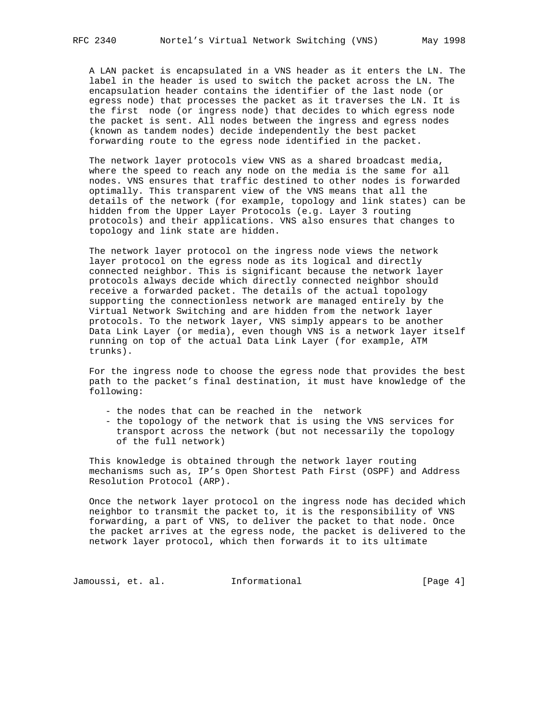A LAN packet is encapsulated in a VNS header as it enters the LN. The label in the header is used to switch the packet across the LN. The encapsulation header contains the identifier of the last node (or egress node) that processes the packet as it traverses the LN. It is the first node (or ingress node) that decides to which egress node the packet is sent. All nodes between the ingress and egress nodes (known as tandem nodes) decide independently the best packet forwarding route to the egress node identified in the packet.

 The network layer protocols view VNS as a shared broadcast media, where the speed to reach any node on the media is the same for all nodes. VNS ensures that traffic destined to other nodes is forwarded optimally. This transparent view of the VNS means that all the details of the network (for example, topology and link states) can be hidden from the Upper Layer Protocols (e.g. Layer 3 routing protocols) and their applications. VNS also ensures that changes to topology and link state are hidden.

 The network layer protocol on the ingress node views the network layer protocol on the egress node as its logical and directly connected neighbor. This is significant because the network layer protocols always decide which directly connected neighbor should receive a forwarded packet. The details of the actual topology supporting the connectionless network are managed entirely by the Virtual Network Switching and are hidden from the network layer protocols. To the network layer, VNS simply appears to be another Data Link Layer (or media), even though VNS is a network layer itself running on top of the actual Data Link Layer (for example, ATM trunks).

 For the ingress node to choose the egress node that provides the best path to the packet's final destination, it must have knowledge of the following:

- the nodes that can be reached in the network
- the topology of the network that is using the VNS services for transport across the network (but not necessarily the topology of the full network)

 This knowledge is obtained through the network layer routing mechanisms such as, IP's Open Shortest Path First (OSPF) and Address Resolution Protocol (ARP).

 Once the network layer protocol on the ingress node has decided which neighbor to transmit the packet to, it is the responsibility of VNS forwarding, a part of VNS, to deliver the packet to that node. Once the packet arrives at the egress node, the packet is delivered to the network layer protocol, which then forwards it to its ultimate

Jamoussi, et. al. 1nformational 1000 [Page 4]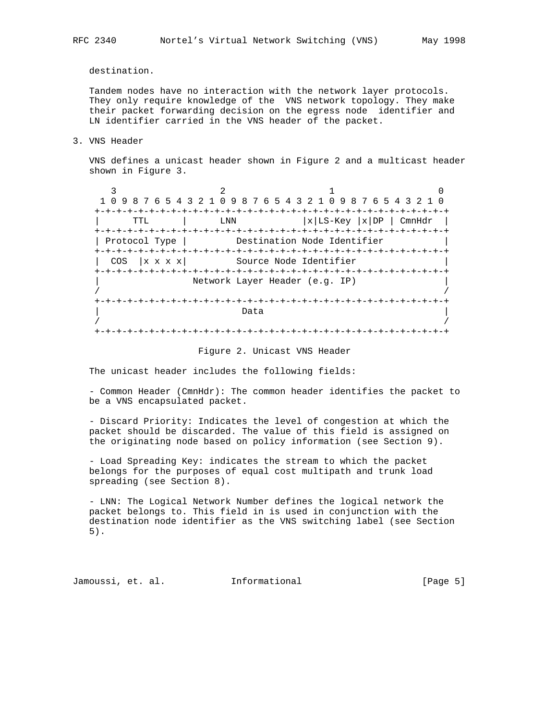destination.

 Tandem nodes have no interaction with the network layer protocols. They only require knowledge of the VNS network topology. They make their packet forwarding decision on the egress node identifier and LN identifier carried in the VNS header of the packet.

3. VNS Header

 VNS defines a unicast header shown in Figure 2 and a multicast header shown in Figure 3.

 $\frac{3}{2}$  1 0 1 0 9 8 7 6 5 4 3 2 1 0 9 8 7 6 5 4 3 2 1 0 9 8 7 6 5 4 3 2 1 0 +-+-+-+-+-+-+-+-+-+-+-+-+-+-+-+-+-+-+-+-+-+-+-+-+-+-+-+-+-+-+-+-+ | LNN |x|LS-Key |x|DP | CmnHdr | +-+-+-+-+-+-+-+-+-+-+-+-+-+-+-+-+-+-+-+-+-+-+-+-+-+-+-+-+-+-+-+-+ | Protocol Type | Destination Node Identifier +-+-+-+-+-+-+-+-+-+-+-+-+-+-+-+-+-+-+-+-+-+-+-+-+-+-+-+-+-+-+-+-+ | COS |x x x | Source Node Identifier +-+-+-+-+-+-+-+-+-+-+-+-+-+-+-+-+-+-+-+-+-+-+-+-+-+-+-+-+-+-+-+-+ Network Layer Header (e.g. IP) / / +-+-+-+-+-+-+-+-+-+-+-+-+-+-+-+-+-+-+-+-+-+-+-+-+-+-+-+-+-+-+-+-+ | Data | Data | Data | Data | Data | Data | Data | Data | Data | Data | Data | Data | Data | Data | Data | Data | Data | Data | Data | Data | Data | Data | Data | Data | Data | Data | Data | Data | Data | Data | Data | Dat / / +-+-+-+-+-+-+-+-+-+-+-+-+-+-+-+-+-+-+-+-+-+-+-+-+-+-+-+-+-+-+-+-+

#### Figure 2. Unicast VNS Header

The unicast header includes the following fields:

 - Common Header (CmnHdr): The common header identifies the packet to be a VNS encapsulated packet.

 - Discard Priority: Indicates the level of congestion at which the packet should be discarded. The value of this field is assigned on the originating node based on policy information (see Section 9).

 - Load Spreading Key: indicates the stream to which the packet belongs for the purposes of equal cost multipath and trunk load spreading (see Section 8).

 - LNN: The Logical Network Number defines the logical network the packet belongs to. This field in is used in conjunction with the destination node identifier as the VNS switching label (see Section 5).

Jamoussi, et. al. Informational [Page 5]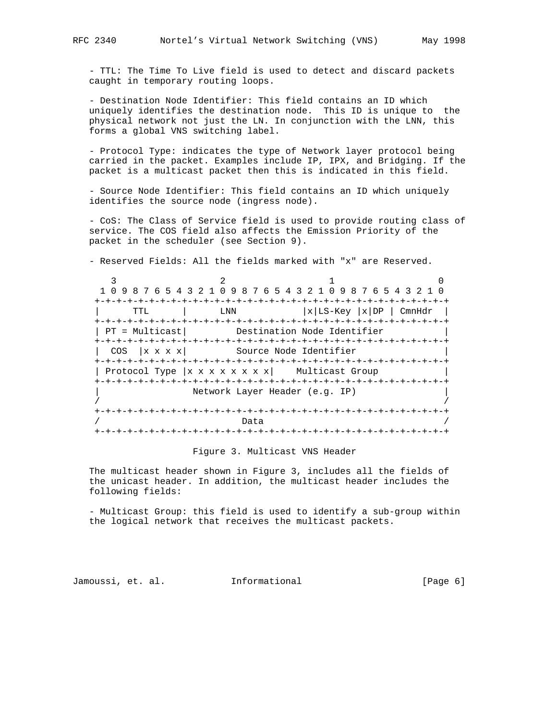- TTL: The Time To Live field is used to detect and discard packets caught in temporary routing loops.

 - Destination Node Identifier: This field contains an ID which uniquely identifies the destination node. This ID is unique to the physical network not just the LN. In conjunction with the LNN, this forms a global VNS switching label.

 - Protocol Type: indicates the type of Network layer protocol being carried in the packet. Examples include IP, IPX, and Bridging. If the packet is a multicast packet then this is indicated in this field.

 - Source Node Identifier: This field contains an ID which uniquely identifies the source node (ingress node).

 - CoS: The Class of Service field is used to provide routing class of service. The COS field also affects the Emission Priority of the packet in the scheduler (see Section 9).

- Reserved Fields: All the fields marked with "x" are Reserved.

|                                  |      | 0 9 8 7 6 5 4 3 2 1 0 9 8 7 6 5 4 3 2 1 0 9 8 7 6 5 4 3 2 1    |        |
|----------------------------------|------|----------------------------------------------------------------|--------|
|                                  |      |                                                                |        |
| TTL                              | LNN  | $ x $ LS-Key $ x $ DP                                          | CmnHdr |
| +-+-+-+-+-+-+-+                  |      |                                                                |        |
| $PT = Multicast  $               |      | Destination Node Identifier                                    |        |
| --+-+-+-+-+-+-+-+-+-+-+-+-+-+-+- |      | -+-+-+-+-+-+-+-+-+-+-+                                         |        |
| x x x x <br>COS                  |      | Source Node Identifier                                         |        |
|                                  |      |                                                                |        |
|                                  |      | Protocol Type $ x \times x \times x \times x $ Multicast Group |        |
|                                  |      |                                                                |        |
|                                  |      | Network Layer Header (e.g. IP)                                 |        |
|                                  |      |                                                                |        |
|                                  |      |                                                                |        |
|                                  | Data |                                                                |        |
|                                  |      |                                                                |        |

#### Figure 3. Multicast VNS Header

 The multicast header shown in Figure 3, includes all the fields of the unicast header. In addition, the multicast header includes the following fields:

 - Multicast Group: this field is used to identify a sub-group within the logical network that receives the multicast packets.

Jamoussi, et. al. Informational [Page 6]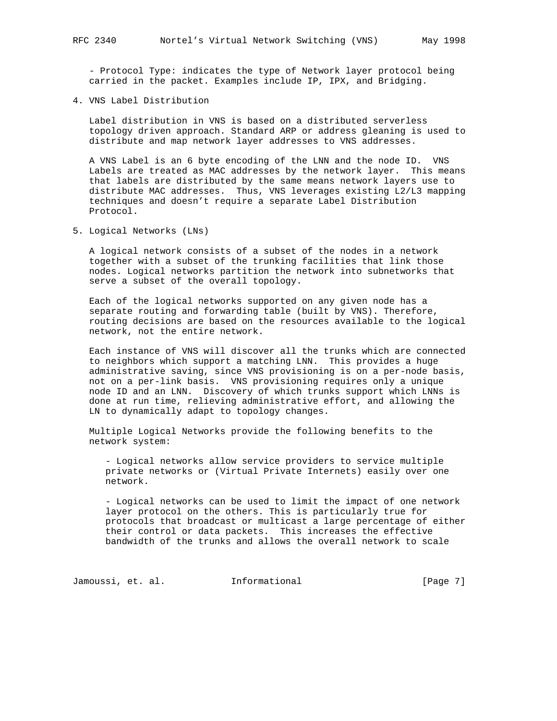- Protocol Type: indicates the type of Network layer protocol being carried in the packet. Examples include IP, IPX, and Bridging.

4. VNS Label Distribution

 Label distribution in VNS is based on a distributed serverless topology driven approach. Standard ARP or address gleaning is used to distribute and map network layer addresses to VNS addresses.

 A VNS Label is an 6 byte encoding of the LNN and the node ID. VNS Labels are treated as MAC addresses by the network layer. This means that labels are distributed by the same means network layers use to distribute MAC addresses. Thus, VNS leverages existing L2/L3 mapping techniques and doesn't require a separate Label Distribution Protocol.

5. Logical Networks (LNs)

 A logical network consists of a subset of the nodes in a network together with a subset of the trunking facilities that link those nodes. Logical networks partition the network into subnetworks that serve a subset of the overall topology.

 Each of the logical networks supported on any given node has a separate routing and forwarding table (built by VNS). Therefore, routing decisions are based on the resources available to the logical network, not the entire network.

 Each instance of VNS will discover all the trunks which are connected to neighbors which support a matching LNN. This provides a huge administrative saving, since VNS provisioning is on a per-node basis, not on a per-link basis. VNS provisioning requires only a unique node ID and an LNN. Discovery of which trunks support which LNNs is done at run time, relieving administrative effort, and allowing the LN to dynamically adapt to topology changes.

 Multiple Logical Networks provide the following benefits to the network system:

 - Logical networks allow service providers to service multiple private networks or (Virtual Private Internets) easily over one network.

 - Logical networks can be used to limit the impact of one network layer protocol on the others. This is particularly true for protocols that broadcast or multicast a large percentage of either their control or data packets. This increases the effective bandwidth of the trunks and allows the overall network to scale

Jamoussi, et. al. 1nformational 1999 [Page 7]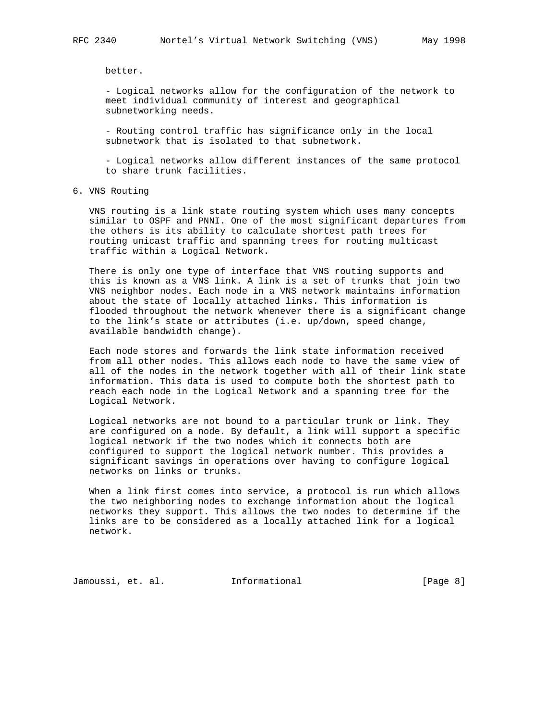better.

 - Logical networks allow for the configuration of the network to meet individual community of interest and geographical subnetworking needs.

 - Routing control traffic has significance only in the local subnetwork that is isolated to that subnetwork.

 - Logical networks allow different instances of the same protocol to share trunk facilities.

## 6. VNS Routing

 VNS routing is a link state routing system which uses many concepts similar to OSPF and PNNI. One of the most significant departures from the others is its ability to calculate shortest path trees for routing unicast traffic and spanning trees for routing multicast traffic within a Logical Network.

 There is only one type of interface that VNS routing supports and this is known as a VNS link. A link is a set of trunks that join two VNS neighbor nodes. Each node in a VNS network maintains information about the state of locally attached links. This information is flooded throughout the network whenever there is a significant change to the link's state or attributes (i.e. up/down, speed change, available bandwidth change).

 Each node stores and forwards the link state information received from all other nodes. This allows each node to have the same view of all of the nodes in the network together with all of their link state information. This data is used to compute both the shortest path to reach each node in the Logical Network and a spanning tree for the Logical Network.

 Logical networks are not bound to a particular trunk or link. They are configured on a node. By default, a link will support a specific logical network if the two nodes which it connects both are configured to support the logical network number. This provides a significant savings in operations over having to configure logical networks on links or trunks.

 When a link first comes into service, a protocol is run which allows the two neighboring nodes to exchange information about the logical networks they support. This allows the two nodes to determine if the links are to be considered as a locally attached link for a logical network.

Jamoussi, et. al. Informational [Page 8]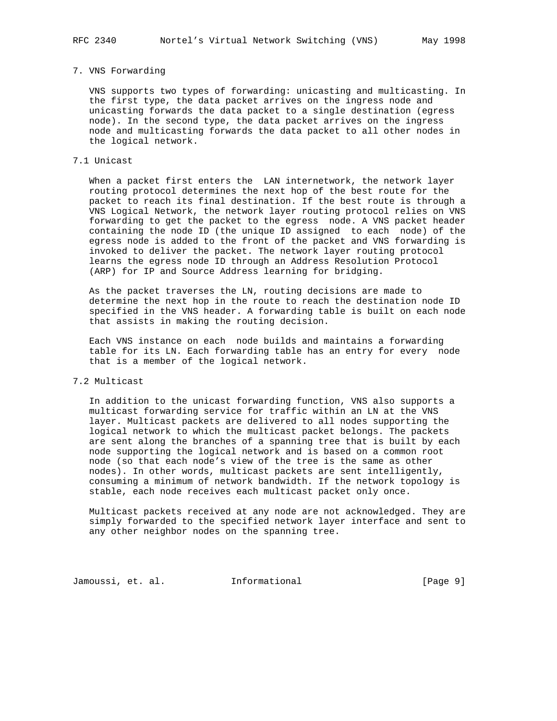## 7. VNS Forwarding

 VNS supports two types of forwarding: unicasting and multicasting. In the first type, the data packet arrives on the ingress node and unicasting forwards the data packet to a single destination (egress node). In the second type, the data packet arrives on the ingress node and multicasting forwards the data packet to all other nodes in the logical network.

## 7.1 Unicast

 When a packet first enters the LAN internetwork, the network layer routing protocol determines the next hop of the best route for the packet to reach its final destination. If the best route is through a VNS Logical Network, the network layer routing protocol relies on VNS forwarding to get the packet to the egress node. A VNS packet header containing the node ID (the unique ID assigned to each node) of the egress node is added to the front of the packet and VNS forwarding is invoked to deliver the packet. The network layer routing protocol learns the egress node ID through an Address Resolution Protocol (ARP) for IP and Source Address learning for bridging.

 As the packet traverses the LN, routing decisions are made to determine the next hop in the route to reach the destination node ID specified in the VNS header. A forwarding table is built on each node that assists in making the routing decision.

 Each VNS instance on each node builds and maintains a forwarding table for its LN. Each forwarding table has an entry for every node that is a member of the logical network.

## 7.2 Multicast

 In addition to the unicast forwarding function, VNS also supports a multicast forwarding service for traffic within an LN at the VNS layer. Multicast packets are delivered to all nodes supporting the logical network to which the multicast packet belongs. The packets are sent along the branches of a spanning tree that is built by each node supporting the logical network and is based on a common root node (so that each node's view of the tree is the same as other nodes). In other words, multicast packets are sent intelligently, consuming a minimum of network bandwidth. If the network topology is stable, each node receives each multicast packet only once.

 Multicast packets received at any node are not acknowledged. They are simply forwarded to the specified network layer interface and sent to any other neighbor nodes on the spanning tree.

Jamoussi, et. al. Informational [Page 9]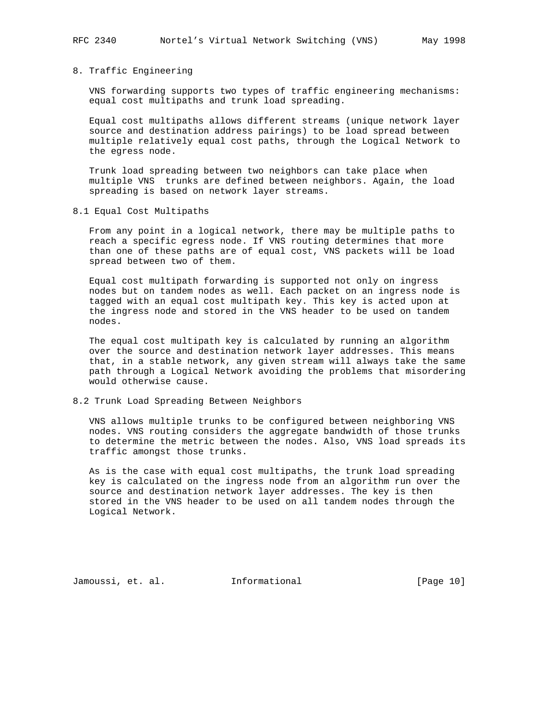#### 8. Traffic Engineering

 VNS forwarding supports two types of traffic engineering mechanisms: equal cost multipaths and trunk load spreading.

 Equal cost multipaths allows different streams (unique network layer source and destination address pairings) to be load spread between multiple relatively equal cost paths, through the Logical Network to the egress node.

 Trunk load spreading between two neighbors can take place when multiple VNS trunks are defined between neighbors. Again, the load spreading is based on network layer streams.

8.1 Equal Cost Multipaths

 From any point in a logical network, there may be multiple paths to reach a specific egress node. If VNS routing determines that more than one of these paths are of equal cost, VNS packets will be load spread between two of them.

 Equal cost multipath forwarding is supported not only on ingress nodes but on tandem nodes as well. Each packet on an ingress node is tagged with an equal cost multipath key. This key is acted upon at the ingress node and stored in the VNS header to be used on tandem nodes.

 The equal cost multipath key is calculated by running an algorithm over the source and destination network layer addresses. This means that, in a stable network, any given stream will always take the same path through a Logical Network avoiding the problems that misordering would otherwise cause.

### 8.2 Trunk Load Spreading Between Neighbors

 VNS allows multiple trunks to be configured between neighboring VNS nodes. VNS routing considers the aggregate bandwidth of those trunks to determine the metric between the nodes. Also, VNS load spreads its traffic amongst those trunks.

 As is the case with equal cost multipaths, the trunk load spreading key is calculated on the ingress node from an algorithm run over the source and destination network layer addresses. The key is then stored in the VNS header to be used on all tandem nodes through the Logical Network.

Jamoussi, et. al. Informational [Page 10]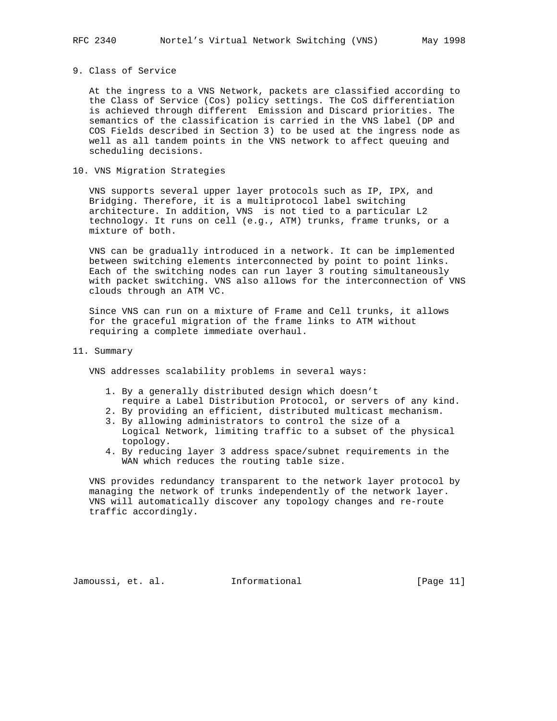## 9. Class of Service

 At the ingress to a VNS Network, packets are classified according to the Class of Service (Cos) policy settings. The CoS differentiation is achieved through different Emission and Discard priorities. The semantics of the classification is carried in the VNS label (DP and COS Fields described in Section 3) to be used at the ingress node as well as all tandem points in the VNS network to affect queuing and scheduling decisions.

10. VNS Migration Strategies

 VNS supports several upper layer protocols such as IP, IPX, and Bridging. Therefore, it is a multiprotocol label switching architecture. In addition, VNS is not tied to a particular L2 technology. It runs on cell (e.g., ATM) trunks, frame trunks, or a mixture of both.

 VNS can be gradually introduced in a network. It can be implemented between switching elements interconnected by point to point links. Each of the switching nodes can run layer 3 routing simultaneously with packet switching. VNS also allows for the interconnection of VNS clouds through an ATM VC.

 Since VNS can run on a mixture of Frame and Cell trunks, it allows for the graceful migration of the frame links to ATM without requiring a complete immediate overhaul.

11. Summary

VNS addresses scalability problems in several ways:

- 1. By a generally distributed design which doesn't require a Label Distribution Protocol, or servers of any kind.
- 2. By providing an efficient, distributed multicast mechanism.
- 3. By allowing administrators to control the size of a Logical Network, limiting traffic to a subset of the physical topology.
- 4. By reducing layer 3 address space/subnet requirements in the WAN which reduces the routing table size.

 VNS provides redundancy transparent to the network layer protocol by managing the network of trunks independently of the network layer. VNS will automatically discover any topology changes and re-route traffic accordingly.

Jamoussi, et. al. Informational [Page 11]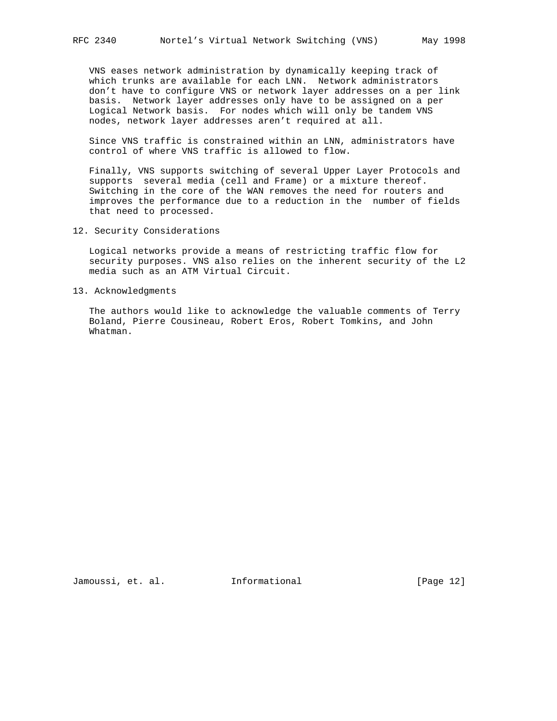VNS eases network administration by dynamically keeping track of which trunks are available for each LNN. Network administrators don't have to configure VNS or network layer addresses on a per link basis. Network layer addresses only have to be assigned on a per Logical Network basis. For nodes which will only be tandem VNS nodes, network layer addresses aren't required at all.

 Since VNS traffic is constrained within an LNN, administrators have control of where VNS traffic is allowed to flow.

 Finally, VNS supports switching of several Upper Layer Protocols and supports several media (cell and Frame) or a mixture thereof. Switching in the core of the WAN removes the need for routers and improves the performance due to a reduction in the number of fields that need to processed.

12. Security Considerations

 Logical networks provide a means of restricting traffic flow for security purposes. VNS also relies on the inherent security of the L2 media such as an ATM Virtual Circuit.

13. Acknowledgments

 The authors would like to acknowledge the valuable comments of Terry Boland, Pierre Cousineau, Robert Eros, Robert Tomkins, and John Whatman.

Jamoussi, et. al. Informational [Page 12]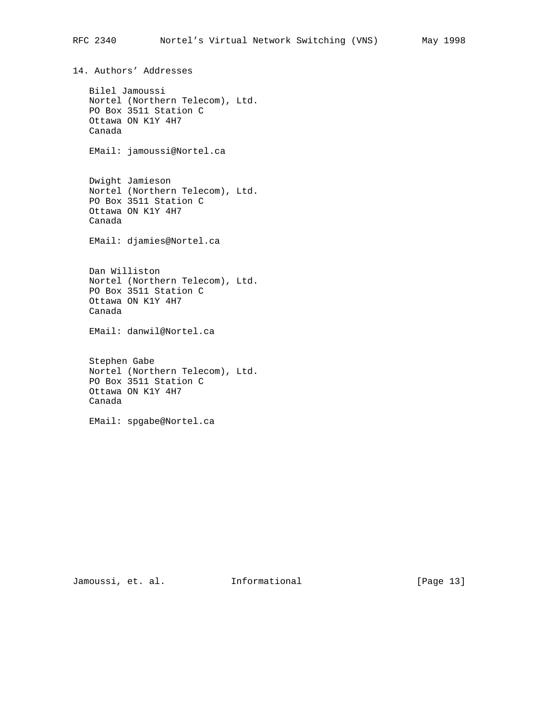14. Authors' Addresses Bilel Jamoussi Nortel (Northern Telecom), Ltd. PO Box 3511 Station C Ottawa ON K1Y 4H7 Canada EMail: jamoussi@Nortel.ca Dwight Jamieson Nortel (Northern Telecom), Ltd. PO Box 3511 Station C Ottawa ON K1Y 4H7 Canada EMail: djamies@Nortel.ca Dan Williston Nortel (Northern Telecom), Ltd. PO Box 3511 Station C Ottawa ON K1Y 4H7 Canada EMail: danwil@Nortel.ca Stephen Gabe Nortel (Northern Telecom), Ltd. PO Box 3511 Station C Ottawa ON K1Y 4H7 Canada EMail: spgabe@Nortel.ca

Jamoussi, et. al. 1nformational [Page 13]